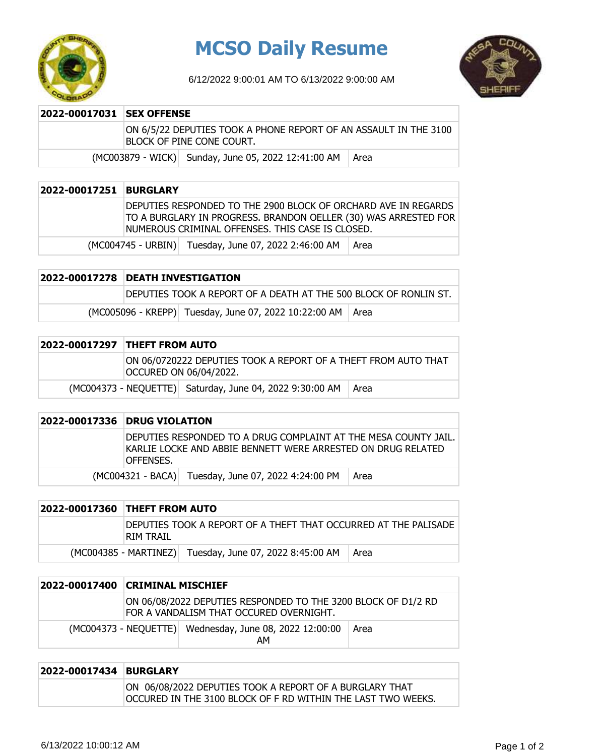

## **MCSO Daily Resume**

6/12/2022 9:00:01 AM TO 6/13/2022 9:00:00 AM



| 2022-00017031 SEX OFFENSE |  |                                                                                                |      |
|---------------------------|--|------------------------------------------------------------------------------------------------|------|
|                           |  | ON 6/5/22 DEPUTIES TOOK A PHONE REPORT OF AN ASSAULT IN THE 3100<br>IBLOCK OF PINE CONE COURT. |      |
|                           |  | (MC003879 - WICK) Sunday, June 05, 2022 12:41:00 AM                                            | Area |

| 2022-00017251 | <b>BURGLARY</b> |                                                                                                                                                                                       |      |
|---------------|-----------------|---------------------------------------------------------------------------------------------------------------------------------------------------------------------------------------|------|
|               |                 | DEPUTIES RESPONDED TO THE 2900 BLOCK OF ORCHARD AVE IN REGARDS<br>TO A BURGLARY IN PROGRESS. BRANDON OELLER (30) WAS ARRESTED FOR<br>NUMEROUS CRIMINAL OFFENSES. THIS CASE IS CLOSED. |      |
|               |                 | (MC004745 - URBIN) Tuesday, June 07, 2022 2:46:00 AM                                                                                                                                  | Area |

| 2022-00017278 DEATH INVESTIGATION |                                                                  |  |
|-----------------------------------|------------------------------------------------------------------|--|
|                                   | DEPUTIES TOOK A REPORT OF A DEATH AT THE 500 BLOCK OF RONLIN ST. |  |
|                                   | (MC005096 - KREPP) Tuesday, June 07, 2022 10:22:00 AM   Area     |  |

| <b>2022-00017297 THEFT FROM AUTO</b> |                                                                                          |      |
|--------------------------------------|------------------------------------------------------------------------------------------|------|
|                                      | ON 06/0720222 DEPUTIES TOOK A REPORT OF A THEFT FROM AUTO THAT<br>OCCURED ON 06/04/2022. |      |
|                                      | (MC004373 - NEQUETTE) Saturday, June 04, 2022 9:30:00 AM                                 | Area |

|  | 2022-00017336 DRUG VIOLATION                                                                                                                  |  |
|--|-----------------------------------------------------------------------------------------------------------------------------------------------|--|
|  | DEPUTIES RESPONDED TO A DRUG COMPLAINT AT THE MESA COUNTY JAIL.<br>IKARLIE LOCKE AND ABBIE BENNETT WERE ARRESTED ON DRUG RELATED<br>OFFENSES. |  |
|  | (MC004321 - BACA) Tuesday, June 07, 2022 4:24:00 PM<br>⊥ Area                                                                                 |  |

| 2022-00017360 THEFT FROM AUTO |                                                                  |        |
|-------------------------------|------------------------------------------------------------------|--------|
| IRIM TRAIL                    | IDEPUTIES TOOK A REPORT OF A THEFT THAT OCCURRED AT THE PALISADE |        |
|                               | (MC004385 - MARTINEZ) Tuesday, June 07, 2022 8:45:00 AM          | ⊺ Area |

| 2022-00017400 | <b>CRIMINAL MISCHIEF</b> |                                                                                                          |      |
|---------------|--------------------------|----------------------------------------------------------------------------------------------------------|------|
|               |                          | ON 06/08/2022 DEPUTIES RESPONDED TO THE 3200 BLOCK OF D1/2 RD<br>FOR A VANDALISM THAT OCCURED OVERNIGHT. |      |
|               |                          | (MC004373 - NEQUETTE) Wednesday, June 08, 2022 12:00:00<br>AM                                            | Area |

| 2022-00017434 BURGLARY |                                                                                                                          |
|------------------------|--------------------------------------------------------------------------------------------------------------------------|
|                        | ON 06/08/2022 DEPUTIES TOOK A REPORT OF A BURGLARY THAT<br>loccured in the 3100 block of F RD within the last two weeks. |